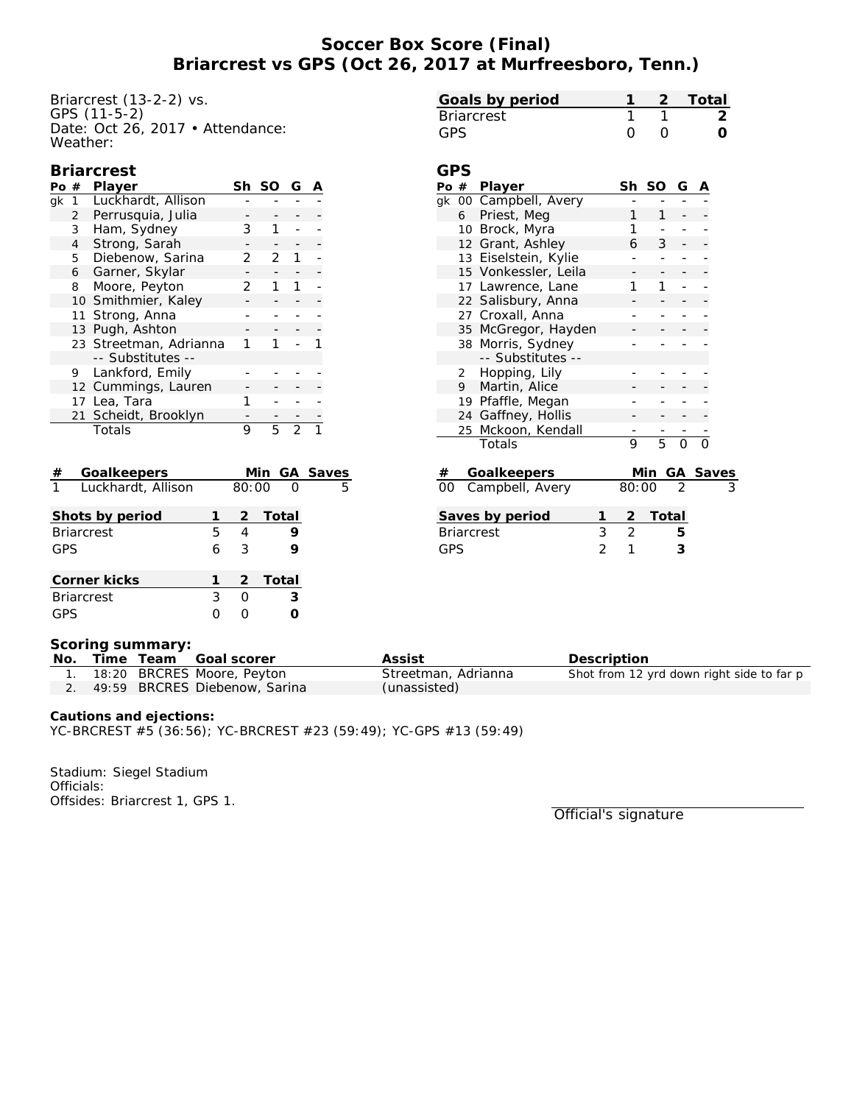# **Soccer Box Score (Final) Briarcrest vs GPS (Oct 26, 2017 at Murfreesboro, Tenn.)**

Briarcrest (13-2-2) vs. GPS (11-5-2) Date: Oct 26, 2017 • Attendance: Weather:

| Goals by period |  | - 2 - Total |
|-----------------|--|-------------|
| Briarcrest      |  |             |
| GPS.            |  |             |

#### **Briarcrest**

| #  | Player            | Sh                                                                                                                                                                                                       | <sub>SO</sub> | G |  |
|----|-------------------|----------------------------------------------------------------------------------------------------------------------------------------------------------------------------------------------------------|---------------|---|--|
| 1  |                   |                                                                                                                                                                                                          |               |   |  |
| 2  | Perrusquia, Julia |                                                                                                                                                                                                          |               |   |  |
| 3  | Ham, Sydney       | 3                                                                                                                                                                                                        |               |   |  |
| 4  |                   |                                                                                                                                                                                                          |               |   |  |
| 5  | Diebenow, Sarina  | 2                                                                                                                                                                                                        | 2             |   |  |
| 6  | Garner, Skylar    |                                                                                                                                                                                                          |               |   |  |
| 8  | Moore, Peyton     | フ                                                                                                                                                                                                        |               |   |  |
|    |                   |                                                                                                                                                                                                          |               |   |  |
| 11 |                   |                                                                                                                                                                                                          |               |   |  |
| 13 |                   |                                                                                                                                                                                                          |               |   |  |
|    |                   |                                                                                                                                                                                                          |               |   |  |
|    | -- Substitutes -- |                                                                                                                                                                                                          |               |   |  |
|    |                   |                                                                                                                                                                                                          |               |   |  |
|    |                   |                                                                                                                                                                                                          |               |   |  |
|    |                   |                                                                                                                                                                                                          |               |   |  |
|    |                   |                                                                                                                                                                                                          |               |   |  |
|    | Totals            | 9                                                                                                                                                                                                        | 5             |   |  |
|    |                   | Luckhardt, Allison<br>Strong, Sarah<br>10 Smithmier, Kaley<br>Strong, Anna<br>Pugh, Ashton<br>23 Streetman, Adrianna<br>9 Lankford, Emily<br>12 Cummings, Lauren<br>17 Lea, Tara<br>21 Scheidt, Brooklyn |               |   |  |

| $^{\#}$<br>Goalkeepers               |   |       | Min GA Saves |   |
|--------------------------------------|---|-------|--------------|---|
| $\overline{1}$<br>Luckhardt, Allison |   | 80:00 | $\Omega$     | 5 |
| Shots by period                      |   |       | 2 Total      |   |
| <b>Briarcrest</b>                    | 5 | 4     |              |   |
| GPS                                  | 6 | 3     |              |   |
| Corner kicks                         |   |       | 2 Total      |   |
| <b>Briarcrest</b>                    | 3 | ∩     | 3            |   |
| GPS                                  |   |       |              |   |
|                                      |   |       |              |   |

| GPS |    |                       |   |        |   |   |  |
|-----|----|-----------------------|---|--------|---|---|--|
|     |    | Po # Player           |   | Sh SO  | G | А |  |
|     |    | gk 00 Campbell, Avery |   |        |   |   |  |
|     | 6  | Priest, Meg           |   | 1      |   |   |  |
|     |    | 10 Brock, Myra        |   |        |   |   |  |
|     |    | 12 Grant, Ashley      |   | 6<br>3 |   |   |  |
|     |    | 13 Eiselstein, Kylie  |   |        |   |   |  |
|     |    | 15 Vonkessler, Leila  |   |        |   |   |  |
|     |    | 17 Lawrence, Lane     |   | 1      |   |   |  |
|     |    | 22 Salisbury, Anna    |   |        |   |   |  |
|     |    | 27 Croxall, Anna      |   |        |   |   |  |
|     |    | 35 McGregor, Hayden   |   |        |   |   |  |
|     | 38 | Morris, Sydney        |   |        |   |   |  |
|     |    | -- Substitutes --     |   |        |   |   |  |
|     |    | 2 Hopping, Lily       |   |        |   |   |  |
|     | 9  | Martin, Alice         |   |        |   |   |  |
|     |    | 19 Pfaffle, Megan     |   |        |   |   |  |
|     |    | 24 Gaffney, Hollis    |   |        |   |   |  |
|     | 25 | Mckoon, Kendall       |   |        |   |   |  |
|     |    | Totals                | 9 | 5      |   |   |  |
|     |    |                       |   |        |   |   |  |

|     | Goalkeepers        |               |         | Min GA Saves |
|-----|--------------------|---------------|---------|--------------|
|     | 00 Campbell, Avery | 80:00         |         | З            |
|     | Saves by period    |               | 2 Total |              |
|     | <b>Briarcrest</b>  | $\mathcal{P}$ | h       |              |
| GPS |                    |               |         |              |

#### **Scoring summary:**

| No. |  | Time Team Goal scorer            | Assist              | Description                               |
|-----|--|----------------------------------|---------------------|-------------------------------------------|
|     |  | 18:20 BRCRES Moore, Peyton       | Streetman, Adrianna | Shot from 12 yrd down right side to far p |
|     |  | 2. 49:59 BRCRES Diebenow, Sarina | (unassisted)        |                                           |

**Cautions and ejections:** YC-BRCREST #5 (36:56); YC-BRCREST #23 (59:49); YC-GPS #13 (59:49)

Stadium: Siegel Stadium Officials: Offsides: Briarcrest 1, GPS 1.

Official's signature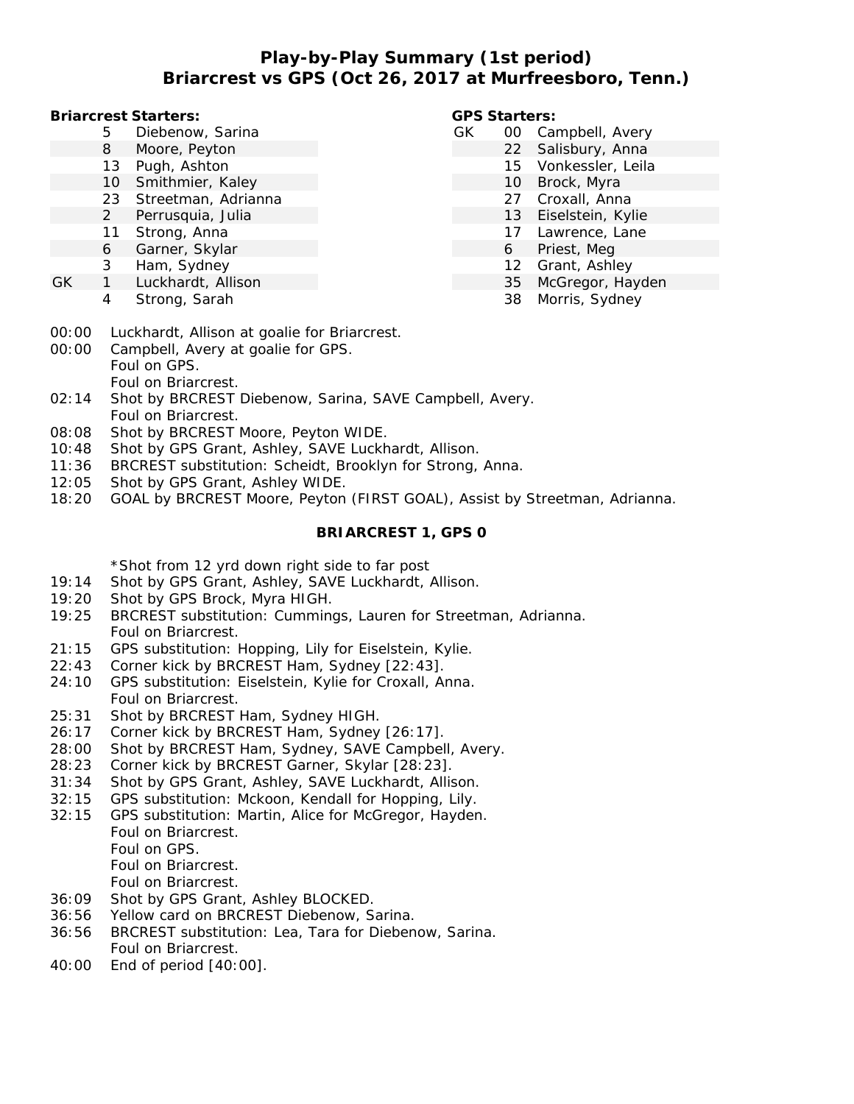# **Play-by-Play Summary (1st period) Briarcrest vs GPS (Oct 26, 2017 at Murfreesboro, Tenn.)**

**Briarcrest Starters:**

- 5 Diebenow, Sarina
- 8 Moore, Peyton
- 13 Pugh, Ashton
- 10 Smithmier, Kaley
- 23 Streetman, Adrianna
- 2 Perrusquia, Julia
- 11 Strong, Anna
- 6 Garner, Skylar
- 3 Ham, Sydney
- GK 1 Luckhardt, Allison
	- 4 Strong, Sarah

#### **GPS Starters:**

- GK 00 Campbell, Avery
	- 22 Salisbury, Anna
		- 15 Vonkessler, Leila
		- 10 Brock, Myra
		- 27 Croxall, Anna
		- 13 Eiselstein, Kylie
		- 17 Lawrence, Lane
		- 6 Priest, Meg
		- 12 Grant, Ashley
		- 35 McGregor, Hayden
		- 38 Morris, Sydney
- 00:00 Luckhardt, Allison at goalie for Briarcrest.
- 00:00 Campbell, Avery at goalie for GPS. Foul on GPS. Foul on Briarcrest.
- 02:14 Shot by BRCREST Diebenow, Sarina, SAVE Campbell, Avery. Foul on Briarcrest.
- 08:08 Shot by BRCREST Moore, Peyton WIDE.
- 10:48 Shot by GPS Grant, Ashley, SAVE Luckhardt, Allison.
- 11:36 BRCREST substitution: Scheidt, Brooklyn for Strong, Anna.
- 12:05 Shot by GPS Grant, Ashley WIDE.
- 18:20 GOAL by BRCREST Moore, Peyton (FIRST GOAL), Assist by Streetman, Adrianna.

### **BRIARCREST 1, GPS 0**

\*Shot from 12 yrd down right side to far post

- 19:14 Shot by GPS Grant, Ashley, SAVE Luckhardt, Allison.
- 19:20 Shot by GPS Brock, Myra HIGH.
- 19:25 BRCREST substitution: Cummings, Lauren for Streetman, Adrianna. Foul on Briarcrest.
- 21:15 GPS substitution: Hopping, Lily for Eiselstein, Kylie.
- 22:43 Corner kick by BRCREST Ham, Sydney [22:43].
- 24:10 GPS substitution: Eiselstein, Kylie for Croxall, Anna. Foul on Briarcrest.
- 25:31 Shot by BRCREST Ham, Sydney HIGH.
- 26:17 Corner kick by BRCREST Ham, Sydney [26:17].
- 28:00 Shot by BRCREST Ham, Sydney, SAVE Campbell, Avery.
- 28:23 Corner kick by BRCREST Garner, Skylar [28:23].
- 31:34 Shot by GPS Grant, Ashley, SAVE Luckhardt, Allison.
- 32:15 GPS substitution: Mckoon, Kendall for Hopping, Lily.
- 32:15 GPS substitution: Martin, Alice for McGregor, Hayden. Foul on Briarcrest. Foul on GPS. Foul on Briarcrest.
	- Foul on Briarcrest.
- 36:09 Shot by GPS Grant, Ashley BLOCKED.
- 36:56 Yellow card on BRCREST Diebenow, Sarina.
- 36:56 BRCREST substitution: Lea, Tara for Diebenow, Sarina. Foul on Briarcrest.
- 40:00 End of period [40:00].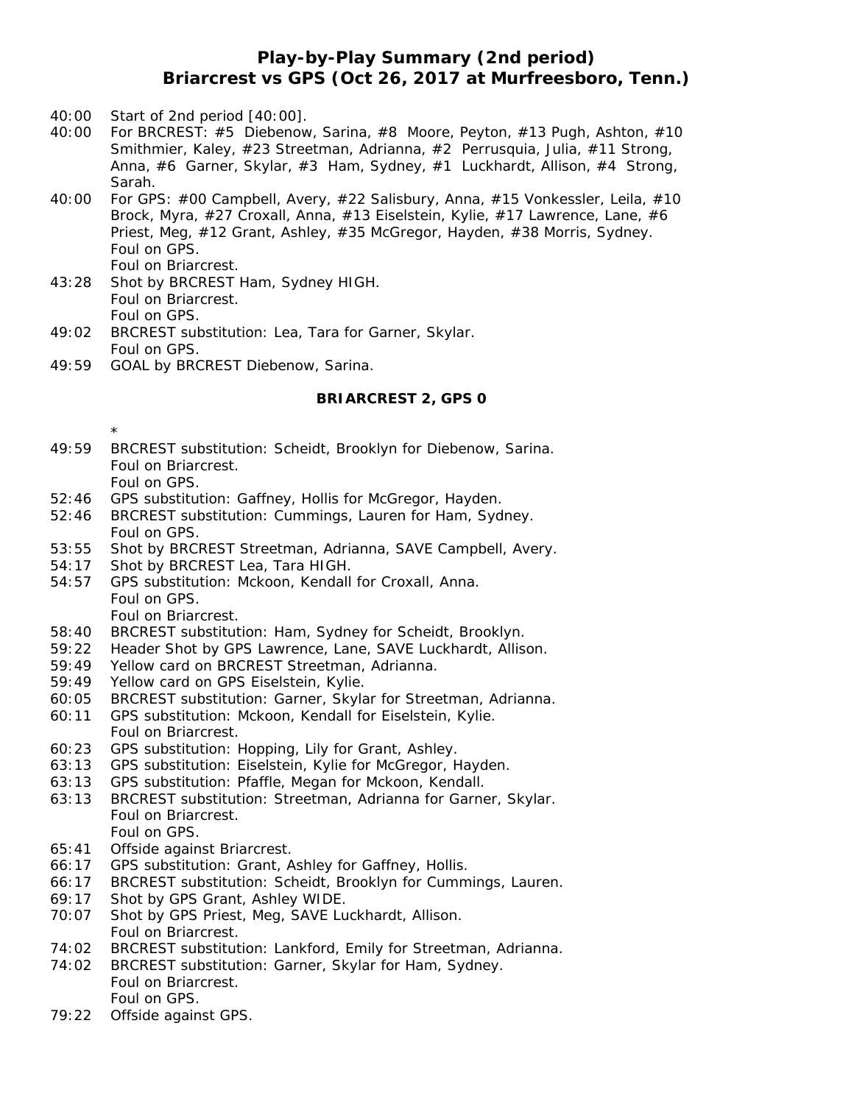## **Play-by-Play Summary (2nd period) Briarcrest vs GPS (Oct 26, 2017 at Murfreesboro, Tenn.)**

- 40:00 Start of 2nd period [40:00].
- 40:00 For BRCREST: #5 Diebenow, Sarina, #8 Moore, Peyton, #13 Pugh, Ashton, #10 Smithmier, Kaley, #23 Streetman, Adrianna, #2 Perrusquia, Julia, #11 Strong, Anna, #6 Garner, Skylar, #3 Ham, Sydney, #1 Luckhardt, Allison, #4 Strong, Sarah.
- 40:00 For GPS: #00 Campbell, Avery, #22 Salisbury, Anna, #15 Vonkessler, Leila, #10 Brock, Myra, #27 Croxall, Anna, #13 Eiselstein, Kylie, #17 Lawrence, Lane, #6 Priest, Meg, #12 Grant, Ashley, #35 McGregor, Hayden, #38 Morris, Sydney. Foul on GPS. Foul on Briarcrest.
- 43:28 Shot by BRCREST Ham, Sydney HIGH. Foul on Briarcrest. Foul on GPS.
- 49:02 BRCREST substitution: Lea, Tara for Garner, Skylar. Foul on GPS.
- 49:59 GOAL by BRCREST Diebenow, Sarina.

## **BRIARCREST 2, GPS 0**

- 49:59 BRCREST substitution: Scheidt, Brooklyn for Diebenow, Sarina. Foul on Briarcrest. Foul on GPS.
- 52:46 GPS substitution: Gaffney, Hollis for McGregor, Hayden.
- 52:46 BRCREST substitution: Cummings, Lauren for Ham, Sydney. Foul on GPS.
- 53:55 Shot by BRCREST Streetman, Adrianna, SAVE Campbell, Avery.
- 54:17 Shot by BRCREST Lea, Tara HIGH.
- 54:57 GPS substitution: Mckoon, Kendall for Croxall, Anna. Foul on GPS.

Foul on Briarcrest.

\*

- 58:40 BRCREST substitution: Ham, Sydney for Scheidt, Brooklyn.
- 59:22 Header Shot by GPS Lawrence, Lane, SAVE Luckhardt, Allison.
- 59:49 Yellow card on BRCREST Streetman, Adrianna.
- 59:49 Yellow card on GPS Eiselstein, Kylie.
- 60:05 BRCREST substitution: Garner, Skylar for Streetman, Adrianna.
- 60:11 GPS substitution: Mckoon, Kendall for Eiselstein, Kylie. Foul on Briarcrest.
- 60:23 GPS substitution: Hopping, Lily for Grant, Ashley.
- 63:13 GPS substitution: Eiselstein, Kylie for McGregor, Hayden.
- 63:13 GPS substitution: Pfaffle, Megan for Mckoon, Kendall.
- 63:13 BRCREST substitution: Streetman, Adrianna for Garner, Skylar. Foul on Briarcrest. Foul on GPS.
- 65:41 Offside against Briarcrest.
- 66:17 GPS substitution: Grant, Ashley for Gaffney, Hollis.
- 66:17 BRCREST substitution: Scheidt, Brooklyn for Cummings, Lauren.
- 69:17 Shot by GPS Grant, Ashley WIDE.
- 70:07 Shot by GPS Priest, Meg, SAVE Luckhardt, Allison. Foul on Briarcrest.
- 74:02 BRCREST substitution: Lankford, Emily for Streetman, Adrianna.
- 74:02 BRCREST substitution: Garner, Skylar for Ham, Sydney. Foul on Briarcrest. Foul on GPS.
- 79:22 Offside against GPS.